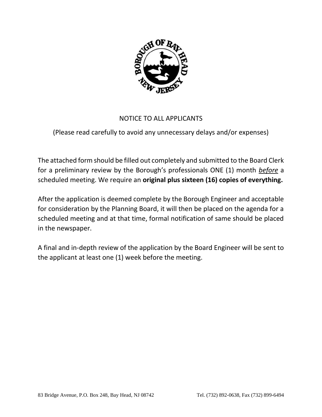

# NOTICE TO ALL APPLICANTS

# (Please read carefully to avoid any unnecessary delays and/or expenses)

The attached form should be filled out completely and submitted to the Board Clerk for a preliminary review by the Borough's professionals ONE (1) month *before* a scheduled meeting. We require an **original plus sixteen (16) copies of everything.**

After the application is deemed complete by the Borough Engineer and acceptable for consideration by the Planning Board, it will then be placed on the agenda for a scheduled meeting and at that time, formal notification of same should be placed in the newspaper.

A final and in-depth review of the application by the Board Engineer will be sent to the applicant at least one (1) week before the meeting.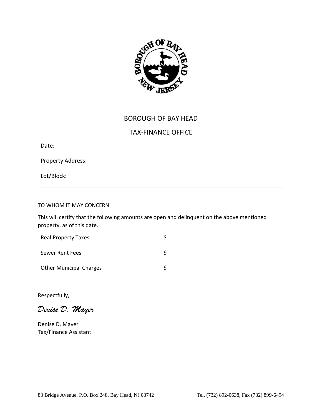

# BOROUGH OF BAY HEAD

# TAX-FINANCE OFFICE

Date:

Property Address:

Lot/Block:

# TO WHOM IT MAY CONCERN:

This will certify that the following amounts are open and delinquent on the above mentioned property, as of this date.

| <b>Real Property Taxes</b>     |  |
|--------------------------------|--|
| Sewer Rent Fees                |  |
| <b>Other Municipal Charges</b> |  |

Respectfully,

*Denise D. Mayer*

Denise D. Mayer Tax/Finance Assistant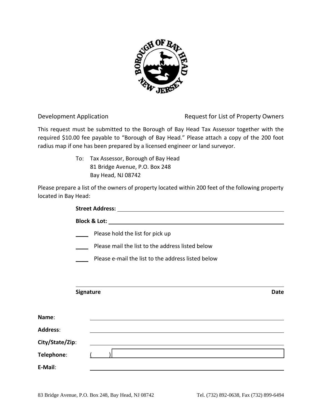

Development Application **Request for List of Property Owners** 

This request must be submitted to the Borough of Bay Head Tax Assessor together with the required \$10.00 fee payable to "Borough of Bay Head." Please attach a copy of the 200 foot radius map if one has been prepared by a licensed engineer or land surveyor.

> To: Tax Assessor, Borough of Bay Head 81 Bridge Avenue, P.O. Box 248 Bay Head, NJ 08742

Please prepare a list of the owners of property located within 200 feet of the following property located in Bay Head:

|                                                    | Please hold the list for pick up                                                                                     |             |  |  |  |
|----------------------------------------------------|----------------------------------------------------------------------------------------------------------------------|-------------|--|--|--|
|                                                    | Please mail the list to the address listed below                                                                     |             |  |  |  |
| Please e-mail the list to the address listed below |                                                                                                                      |             |  |  |  |
|                                                    |                                                                                                                      |             |  |  |  |
|                                                    |                                                                                                                      |             |  |  |  |
|                                                    | <b>Signature</b>                                                                                                     | <b>Date</b> |  |  |  |
|                                                    |                                                                                                                      |             |  |  |  |
| Name:                                              |                                                                                                                      |             |  |  |  |
| <b>Address:</b>                                    |                                                                                                                      |             |  |  |  |
| City/State/Zip:                                    | <u> 1989 - Johann Barn, amerikan bernama di sebagai bernama di sebagai bernama di sebagai bernama di sebagai ber</u> |             |  |  |  |
| Telephone:                                         |                                                                                                                      |             |  |  |  |
| E-Mail:                                            |                                                                                                                      |             |  |  |  |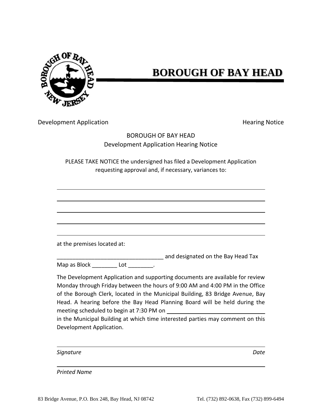

# **BOROUGH OF BAY HEAD**

Development Application **Example 20 and Series and Series Access** Hearing Notice

# BOROUGH OF BAY HEAD Development Application Hearing Notice

PLEASE TAKE NOTICE the undersigned has filed a Development Application requesting approval and, if necessary, variances to:

at the premises located at:

\_\_\_\_\_\_\_\_\_\_\_\_\_\_\_\_\_\_\_\_\_\_\_\_\_\_\_\_\_\_\_\_\_\_ and designated on the Bay Head Tax Map as Block \_\_\_\_\_\_\_\_\_\_ Lot \_\_\_\_\_\_\_\_\_.

The Development Application and supporting documents are available for review Monday through Friday between the hours of 9:00 AM and 4:00 PM in the Office of the Borough Clerk, located in the Municipal Building, 83 Bridge Avenue, Bay Head. A hearing before the Bay Head Planning Board will be held during the meeting scheduled to begin at 7:30 PM on

in the Municipal Building at which time interested parties may comment on this Development Application.

*Signature Date*

*Printed Name*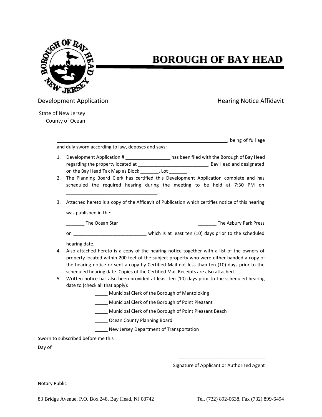

# **BOROUGH OF BAY HEAD**

Development Application **Example 20 and Series and Application** Hearing Notice Affidavit

, being of full age

State of New Jersey County of Ocean

and duly sworn according to law, deposes and says:

\_\_\_\_\_\_\_\_\_\_\_\_\_\_\_\_\_\_\_\_\_\_\_\_\_\_\_\_\_\_\_\_\_\_\_.

- 1. Development Application # has been filed with the Borough of Bay Head regarding the property located at \_\_\_\_\_\_\_\_\_\_\_\_\_\_\_\_\_\_\_\_\_\_\_\_\_\_\_\_\_\_\_\_, Bay Head and designated on the Bay Head Tax Map as Block [10], Lot [10].
- 2. The Planning Board Clerk has certified this Development Application complete and has scheduled the required hearing during the meeting to be held at 7:30 PM on
- 3. Attached hereto is a copy of the Affidavit of Publication which certifies notice of this hearing was published in the:

\_\_\_\_\_\_\_ The Ocean Star \_\_\_\_\_\_\_ The Asbury Park Press

on **based on** an above the scheduled  $\qquad \qquad$  which is at least ten (10) days prior to the scheduled

hearing date.

- 4. Also attached hereto is a copy of the hearing notice together with a list of the owners of property located within 200 feet of the subject property who were either handed a copy of the hearing notice or sent a copy by Certified Mail not less than ten (10) days prior to the scheduled hearing date. Copies of the Certified Mail Receipts are also attached.
- 5. Written notice has also been provided at least ten (10) days prior to the scheduled hearing date to (check all that apply):

\_\_\_\_\_ Municipal Clerk of the Borough of Mantoloking

\_\_\_\_\_ Municipal Clerk of the Borough of Point Pleasant

\_\_\_\_\_ Municipal Clerk of the Borough of Point Pleasant Beach

\_\_\_\_\_ Ocean County Planning Board

New Jersey Department of Transportation

Sworn to subscribed before me this

Day of

Signature of Applicant or Authorized Agent

\_\_\_\_\_\_\_\_\_\_\_\_\_\_\_\_\_\_\_\_\_\_\_\_\_\_\_\_\_\_\_\_\_

Notary Public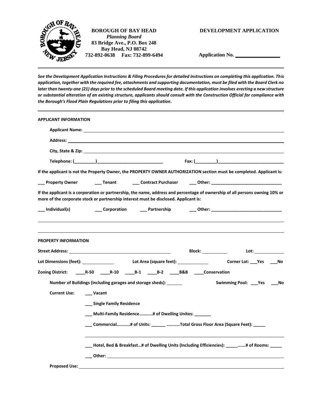

**Application No. \_\_\_\_\_\_\_\_\_\_\_\_\_\_\_\_\_**

*See the Development Application Instructions & Filing Procedures for detailed instructions on completing this application. This application, together with the required fee, attachments and supporting documentation, must be filed with the Board Clerk no later than twenty-one (21) days prior to the scheduled Board meeting date. If this application involves erecting a new structure or substantial alteration of an existing structure, applicants should consult with the Construction Official for compliance with the Borough's Flood Plain Regulations prior to filing this application.*

| <b>APPLICANT INFORMATION</b> |                                                                                                                                                                                                                                                                                                                                                                           |
|------------------------------|---------------------------------------------------------------------------------------------------------------------------------------------------------------------------------------------------------------------------------------------------------------------------------------------------------------------------------------------------------------------------|
|                              | Applicant Name: the contract of the contract of the contract of the contract of the contract of the contract of the contract of the contract of the contract of the contract of the contract of the contract of the contract o                                                                                                                                            |
|                              |                                                                                                                                                                                                                                                                                                                                                                           |
|                              | City, State & Zip: 2008 City, State & Zip:                                                                                                                                                                                                                                                                                                                                |
|                              |                                                                                                                                                                                                                                                                                                                                                                           |
|                              | If the applicant is not the Property Owner, the PROPERTY OWNER AUTHORIZATION section must be completed. Applicant is:                                                                                                                                                                                                                                                     |
| __ Property Owner            | ____ Tenant _______ Contract Purchaser ______ Other: ___________________________                                                                                                                                                                                                                                                                                          |
|                              | If the applicant is a corporation or partnership, the name, address and percentage of ownership of all persons owning 10% or<br>more of the corporate stock or partnership interest must be disclosed. Applicant is:                                                                                                                                                      |
| __ Individual(s)             | ____ Corporation    _____ Partnership       ____ Other: _______________________________                                                                                                                                                                                                                                                                                   |
| <b>PROPERTY INFORMATION</b>  | Street Address: No. 2014 19:30 19:30 19:30 19:30 19:30 19:30 19:30 19:30 19:30 19:30 19:30 19:30 19:30 19:30 1<br>Block: ______________<br>Lot: the contract of the contract of the contract of the contract of the contract of the contract of the contract of the contract of the contract of the contract of the contract of the contract of the contract of the contr |
|                              |                                                                                                                                                                                                                                                                                                                                                                           |
| Zoning District:             | R-50 R-10 B-1 B-2 B&B Conservation                                                                                                                                                                                                                                                                                                                                        |
|                              | Number of Buildings (including garages and storage sheds): _______<br>Swimming Pool: ___Yes ___<br>No                                                                                                                                                                                                                                                                     |
| <b>Current Use:</b>          | Vacant                                                                                                                                                                                                                                                                                                                                                                    |
|                              | __ Single Family Residence                                                                                                                                                                                                                                                                                                                                                |
|                              | Multi-Family Residence# of Dwelling Unites:                                                                                                                                                                                                                                                                                                                               |
|                              |                                                                                                                                                                                                                                                                                                                                                                           |
|                              | ___ Hotel, Bed & Breakfast…# of Dwelling Units (Including Efficiencies): _____…….# of Rooms: _____                                                                                                                                                                                                                                                                        |
|                              |                                                                                                                                                                                                                                                                                                                                                                           |
| <b>Proposed Use:</b>         |                                                                                                                                                                                                                                                                                                                                                                           |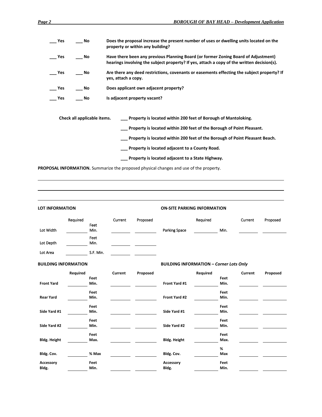| Yes | No                          | Does the proposal increase the present number of uses or dwelling units located on the<br>property or within any building?                                                       |  |
|-----|-----------------------------|----------------------------------------------------------------------------------------------------------------------------------------------------------------------------------|--|
| Yes | No                          | Have there been any previous Planning Board (or former Zoning Board of Adjustment)<br>hearings involving the subject property? If yes, attach a copy of the written decision(s). |  |
| Yes | No                          | Are there any deed restrictions, covenants or easements effecting the subject property? If<br>yes, attach a copy.                                                                |  |
| Yes | No.                         | Does applicant own adjacent property?                                                                                                                                            |  |
| Yes | No                          | Is adjacent property vacant?                                                                                                                                                     |  |
|     |                             |                                                                                                                                                                                  |  |
|     | Check all applicable items. | __ Property is located within 200 feet of Borough of Mantoloking.                                                                                                                |  |
|     |                             | __ Property is located within 200 feet of the Borough of Point Pleasant.                                                                                                         |  |
|     |                             | Property is located within 200 feet of the Borough of Point Pleasant Beach.                                                                                                      |  |
|     |                             | Property is located adjacent to a County Road.                                                                                                                                   |  |
|     |                             | Property is located adjacent to a State Highway.                                                                                                                                 |  |
|     |                             | <b>PROPOSAL INFORMATION.</b> Summarize the proposed physical changes and use of the property.                                                                                    |  |

| <b>LOT INFORMATION</b>      |          |              | <b>ON-SITE PARKING INFORMATION</b> |          |                                                |          |      |         |          |
|-----------------------------|----------|--------------|------------------------------------|----------|------------------------------------------------|----------|------|---------|----------|
|                             | Required | Feet         | Current                            | Proposed |                                                | Required |      | Current | Proposed |
| Lot Width                   |          | Min.         |                                    |          | Parking Space                                  |          | Min. |         |          |
| Lot Depth                   |          | Feet<br>Min. |                                    |          |                                                |          |      |         |          |
| Lot Area                    |          | S.F. Min.    |                                    |          |                                                |          |      |         |          |
| <b>BUILDING INFORMATION</b> |          |              |                                    |          | <b>BUILDING INFORMATION - Corner Lots Only</b> |          |      |         |          |
|                             | Required |              | Current                            | Proposed |                                                | Required |      | Current | Proposed |
|                             |          | Feet         |                                    |          |                                                |          | Feet |         |          |
| <b>Front Yard</b>           |          | Min.         |                                    |          | Front Yard #1                                  |          | Min. |         |          |
|                             |          | Feet         |                                    |          |                                                |          | Feet |         |          |
| <b>Rear Yard</b>            |          | Min.         |                                    |          | Front Yard #2                                  |          | Min. |         |          |
|                             |          | Feet         |                                    |          |                                                |          | Feet |         |          |
| Side Yard #1                |          | Min.         |                                    |          | Side Yard #1                                   |          | Min. |         |          |
|                             |          | Feet         |                                    |          |                                                |          | Feet |         |          |
| Side Yard #2                |          | Min.         |                                    |          | Side Yard #2                                   |          | Min. |         |          |
|                             |          | Feet         |                                    |          |                                                |          | Feet |         |          |
| <b>Bldg. Height</b>         |          | Max.         |                                    |          | <b>Bldg. Height</b>                            |          | Max. |         |          |
|                             |          |              |                                    |          |                                                |          | %    |         |          |
| Bldg. Cov.                  |          | % Max        |                                    |          | Bldg. Cov.                                     |          | Max  |         |          |
| Accessory                   |          | Feet         |                                    |          | Accessory                                      |          | Feet |         |          |
| Bldg.                       |          | Min.         |                                    |          | Bldg.                                          |          | Min. |         |          |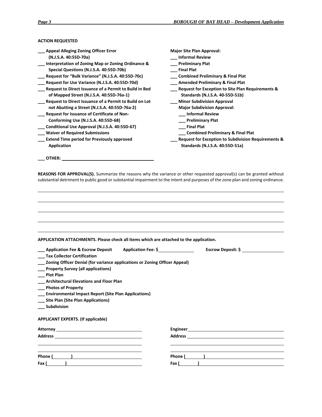# **ACTION REQUESTED**

| <b>Appeal Alleging Zoning Officer Error</b>                                                                                      | <b>Major Site Plan Approval:</b>                                                                                             |
|----------------------------------------------------------------------------------------------------------------------------------|------------------------------------------------------------------------------------------------------------------------------|
| (N.J.S.A. 40:55D-70a)                                                                                                            | <b>Informal Review</b>                                                                                                       |
| Interpretation of Zoning Map or Zoning Ordinance &                                                                               | <b>Preliminary Plat</b>                                                                                                      |
| Special Questions (N.J.S.A. 40:55D-70b)                                                                                          | <b>Final Plat</b>                                                                                                            |
| Request for "Bulk Variance" (N.J.S.A. 40:55D-70c)                                                                                | <b>Combined Preliminary &amp; Final Plat</b>                                                                                 |
| Request for Use Variance (N.J.S.A. 40:55D-70d)                                                                                   | _ Amended Preliminary & Final Plat                                                                                           |
| Request to Direct Issuance of a Permit to Build in Bed                                                                           | Request for Exception to Site Plan Requirements &                                                                            |
| of Mapped Street (N.J.S.A. 40:55D-76a-1)                                                                                         | Standards (N.J.S.A. 40-55D-51b)                                                                                              |
| Request to Direct Issuance of a Permit to Build on Lot                                                                           | <b>Minor Subdivision Approval</b>                                                                                            |
| not Abutting a Street (N.J.S.A. 40:55D-76a-2)                                                                                    | <b>Major Subdivision Approval:</b>                                                                                           |
| Request for Issuance of Certificate of Non-                                                                                      | <b>Informal Review</b>                                                                                                       |
| Conforming Use (N.J.S.A. 40:55D-68)                                                                                              | <b>Preliminary Plat</b>                                                                                                      |
| Conditional Use Approval (N.J.S.A. 40:55D-67)                                                                                    | <b>Final Plat</b>                                                                                                            |
| <b>Waiver of Required Submissions</b>                                                                                            | <b>Combined Preliminary &amp; Final Plat</b>                                                                                 |
| <b>Extend Time period for Previously approved</b>                                                                                | <b>Request for Exception to Subdivision Requirements &amp;</b>                                                               |
| <b>Application</b>                                                                                                               | Standards (N.J.S.A. 40:55D-51a)                                                                                              |
|                                                                                                                                  |                                                                                                                              |
| <b>OTHER:</b>                                                                                                                    |                                                                                                                              |
|                                                                                                                                  |                                                                                                                              |
| substantial detriment to public good or substantial impairment to the intent and purposes of the zone plan and zoning ordinance. | <b>REASONS FOR APPROVAL(S).</b> Summarize the reasons why the variance or other requested approval(s) can be granted without |
|                                                                                                                                  |                                                                                                                              |
|                                                                                                                                  |                                                                                                                              |
|                                                                                                                                  |                                                                                                                              |
|                                                                                                                                  |                                                                                                                              |
|                                                                                                                                  |                                                                                                                              |
| APPLICATION ATTACHMENTS. Please check all items which are attached to the application.                                           |                                                                                                                              |
| Application Fox O. Forgott, Departs, Application Fox, C.                                                                         | Faanalli Banaatti A                                                                                                          |

| Application Fee & Escrow Deposit Application Fee: \$                       | Escrow Deposit: \$                                                                                                                                                                                                            |
|----------------------------------------------------------------------------|-------------------------------------------------------------------------------------------------------------------------------------------------------------------------------------------------------------------------------|
| <b>Tax Collector Certification</b>                                         |                                                                                                                                                                                                                               |
| Zoning Officer Denial (for variance applications or Zoning Officer Appeal) |                                                                                                                                                                                                                               |
| <b>Property Survey (all applications)</b>                                  |                                                                                                                                                                                                                               |
| <b>Plot Plan</b>                                                           |                                                                                                                                                                                                                               |
| <b>Architectural Elevations and Floor Plan</b>                             |                                                                                                                                                                                                                               |
| <b>Photos of Property</b>                                                  |                                                                                                                                                                                                                               |
| <b>Environmental Impact Report (Site Plan Applications)</b>                |                                                                                                                                                                                                                               |
| <b>Site Plan (Site Plan Applications)</b>                                  |                                                                                                                                                                                                                               |
| <b>Subdivision</b>                                                         |                                                                                                                                                                                                                               |
| <b>APPLICANT EXPERTS. (If applicable)</b>                                  |                                                                                                                                                                                                                               |
|                                                                            |                                                                                                                                                                                                                               |
|                                                                            |                                                                                                                                                                                                                               |
|                                                                            |                                                                                                                                                                                                                               |
|                                                                            | Phone ( and ) and ( and ) and ( and ) and ( and ) and ( and ) and ( and ) and ( and ) and ( and ) and ( and ) and ( and ) and ( and ) and ( and ) and ( and ) and ( and ) and ( and ) and ( and ) and ( and ) and ( and ) and |
| Fax (____                                                                  | Fax (                                                                                                                                                                                                                         |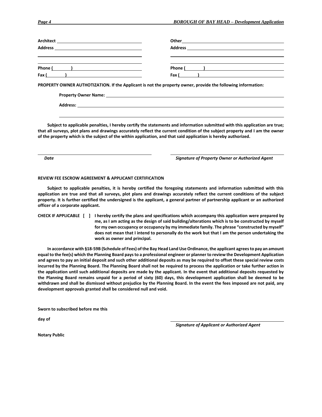| Phone ( and ) and ( and ) and ( and ) and ( and ) and ( and ) and ( and ) and ( and ) and ( and ) and ( and ) and ( and ) and ( and ) and ( and ) and ( and ) and ( and ) and ( and ) and ( and ) and ( and ) and ( and ) and | Phone ( <u>)</u> |
|-------------------------------------------------------------------------------------------------------------------------------------------------------------------------------------------------------------------------------|------------------|
| Fax $($ $)$                                                                                                                                                                                                                   | Fax $($ $)$      |
| PROPERTY OWNER AUTHOTIZATION. If the Applicant is not the property owner, provide the following information:                                                                                                                  |                  |

**Property Owner Name:** 

**Address:** 

**Subject to applicable penalties, I hereby certify the statements and information submitted with this application are true; that all surveys, plot plans and drawings accurately reflect the current condition of the subject property and I am the owner of the property which is the subject of the within application, and that said application is hereby authorized.** 

*Date Signature of Property Owner or Authorized Agent*

#### **REVIEW FEE ESCROW AGREEMENT & APPLICANT CERTIFICATION**

**Subject to applicable penalties, it is hereby certified the foregoing statements and information submitted with this application are true and that all surveys, plot plans and drawings accurately reflect the current conditions of the subject property. It is further certified the undersigned is the applicant, a general partner of partnership applicant or an authorized officer of a corporate applicant.** 

**CHECK IF APPLICABLE [ ] I hereby certify the plans and specifications which accompany this application were prepared by me, as I am acting as the design of said building/alterations which is to be constructed by myself for my own occupancy or occupancy by my immediate family. The phrase "constructed by myself" does not mean that I intend to personally do the work but that I am the person undertaking the work as owner and principal.**

**In accordance with §18-59B (Schedule of Fees) of the Bay Head Land Use Ordinance, the applicant agrees to pay an amount equal to the fee(s) which the Planning Board pays to a professional engineer or planner to review the Development Application and agrees to pay an initial deposit and such other additional deposits as may be required to offset these special review costs incurred by the Planning Board. The Planning Board shall not be required to process the application or take further action in the application until such additional deposits are made by the applicant. In the event that additional deposits requested by the Planning Board remains unpaid for a period of sixty (60) days, this development application shall be deemed to be withdrawn and shall be dismissed without prejudice by the Planning Board. In the event the fees imposed are not paid, any development approvals granted shall be considered null and void.** 

**Sworn to subscribed before me this**

**day of** 

*Signature of Applicant or Authorized Agent*

**Notary Public**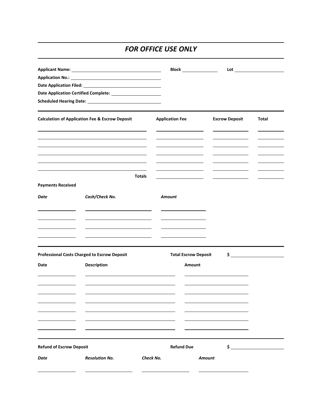# *FOR OFFICE USE ONLY*

|                                 |                                                                | <b>Block ________________</b>                   |                       |               |
|---------------------------------|----------------------------------------------------------------|-------------------------------------------------|-----------------------|---------------|
|                                 |                                                                |                                                 |                       |               |
|                                 |                                                                |                                                 |                       |               |
|                                 | Date Application Certified Complete: _________________________ |                                                 |                       |               |
|                                 |                                                                |                                                 |                       |               |
|                                 | <b>Calculation of Application Fee &amp; Escrow Deposit</b>     | <b>Application Fee</b>                          | <b>Escrow Deposit</b> | Total         |
|                                 |                                                                |                                                 |                       |               |
|                                 | <b>Totals</b>                                                  | <u> 1989 - Jan Barbara Barbara, prima posta</u> |                       |               |
| <b>Payments Received</b>        |                                                                |                                                 |                       |               |
| Date                            | Cash/Check No.                                                 | Amount                                          |                       |               |
|                                 | <u> 1989 - John Stein, Amerikaansk politiker (</u>             |                                                 |                       |               |
|                                 | <u> 1989 - Andrea Andrew Maria (b. 1989)</u>                   |                                                 |                       |               |
|                                 | <b>Professional Costs Charged to Escrow Deposit</b>            | <b>Total Escrow Deposit</b>                     |                       | $\frac{1}{2}$ |
| Date                            | <b>Description</b>                                             | <b>Amount</b>                                   |                       |               |
|                                 |                                                                |                                                 |                       |               |
|                                 |                                                                |                                                 |                       |               |
|                                 |                                                                |                                                 |                       |               |
|                                 |                                                                |                                                 |                       |               |
| <b>Refund of Escrow Deposit</b> |                                                                | <b>Refund Due</b>                               | \$                    |               |
| Date                            | <b>Resolution No.</b>                                          | Check No.                                       | Amount                |               |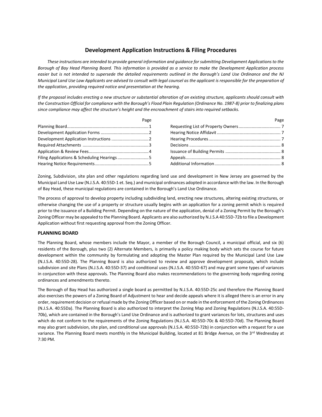# **Development Application Instructions & Filing Procedures**

*These instructions are intended to provide general information and guidance for submitting Development Applications to the Borough of Bay Head Planning Board. This information is provided as a service to make the Development Application process easier but is not intended to supersede the detailed requirements outlined in the Borough's Land Use Ordinance and the NJ Municipal Land Use Law Applicants are advised to consult with legal counsel as the applicant is responsible for the preparation of the application, providing required notice and presentation at the hearing.* 

*If the proposal includes erecting a new structure or substantial alteration of an existing structure, applicants should consult with the Construction Official for compliance with the Borough's Flood Plain Regulation (Ordinance No. 1987-8) prior to finalizing plans since compliance may affect the structure's height and the encroachment of stairs into required setbacks.* 

| Page                                       | Page |
|--------------------------------------------|------|
|                                            |      |
|                                            |      |
|                                            |      |
|                                            |      |
|                                            |      |
| Filing Applications & Scheduling Hearings5 |      |
|                                            |      |

Zoning, Subdivision, site plan and other regulations regarding land use and development in New Jersey are governed by the Municipal Land Use Law (N.J.S.A. 40:55D-1 et. Seq.) and municipal ordinances adopted in accordance with the law. In the Borough of Bay Head, these municipal regulations are contained in the Borough's Land Use Ordinance.

The process of approval to develop property including subdividing land, erecting new structures, altering existing structures, or otherwise changing the use of a property or structure usually begins with an application for a zoning permit which is required prior to the issuance of a Building Permit. Depending on the nature of the application, denial of a Zoning Permit by the Borough's Zoning Officer may be appealed to the Planning Board. Applicants are also authorized by N.J.S.A 40:55D-72b to file a Development Application without first requesting approval from the Zoning Officer.

# **PLANNING BOARD**

The Planning Board, whose members include the Mayor, a member of the Borough Council, a municipal official, and six (6) residents of the Borough, plus two (2) Alternate Members, is primarily a policy making body which sets the course for future development within the community by formulating and adopting the Master Plan required by the Municipal Land Use Law (N.J.S.A. 40:55D-28). The Planning Board is also authorized to review and approve development proposals, which include subdivision and site Plans (N.J.S.A. 40:55D-37) and conditional uses (N.J.S.A. 40:55D-67) and may grant some types of variances in conjunction with these approvals. The Planning Board also makes recommendations to the governing body regarding zoning ordinances and amendments thereto.

The Borough of Bay Head has authorized a single board as permitted by N.J.S.A. 40:55D-25c and therefore the Planning Board also exercises the powers of a Zoning Board of Adjustment to hear and decide appeals where it is alleged there is an error in any order, requirement decision or refusal made by the Zoning Officer based on or made in the enforcement of the Zoning Ordinances (N.J.S.A. 40:55Da). The Planning Board is also authorized to interpret the Zoning Map and Zoning Regulations (N.J.S.A. 40:55D-70b), which are contained in the Borough's Land Use Ordinance and is authorized to grant variances for lots, structures and uses which do not conform to the requirements of the Zoning Regulations (N.J.S.A. 40:55D-70c & 40:55D-70d). The Planning Board may also grant subdivision, site plan, and conditional use approvals (N.J.S.A. 40:55D-72b) in conjunction with a request for a use variance. The Planning Board meets monthly in the Municipal Building, located at 81 Bridge Avenue, on the 3rd Wednesday at 7:30 PM.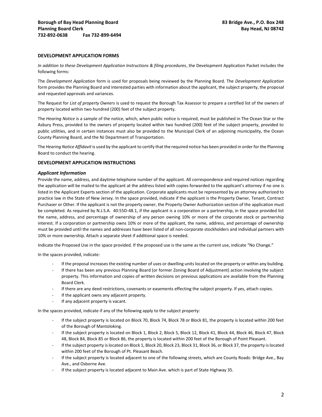# **DEVELOPMENT APPLICATION FORMS**

*In addition to these Development Application Instructions & filing procedures*, the Development Application Packet includes the following forms:

The *Development Application* form is used for proposals being reviewed by the Planning Board. The *Development Application* form provides the Planning Board and interested parties with information about the applicant, the subject property, the proposal and requested approvals and variances.

The Request for *List of property Owners* is used to request the Borough Tax Assessor to prepare a certified list of the owners of property located within two hundred (200) feet of the subject property.

The *Hearing Notice* is a sample of the notice, which, when public notice is required, must be published in The Ocean Star or the Asbury Press, provided to the owners of property located within two hundred (200) feet of the subject property, provided to public utilities, and in certain instances must also be provided to the Municipal Clerk of an adjoining municipality, the Ocean County Planning Board, and the NJ Department of Transportation.

The *Hearing Notice Affidavit* is used by the applicant to certify that the required notice has been provided in order for the Planning Board to conduct the hearing.

# **DEVELOPMENT APPLICATION INSTRUCTIONS**

#### *Applicant Information*

Provide the name, address, and daytime telephone number of the applicant. All correspondence and required notices regarding the application will be mailed to the applicant at the address listed with copies forwarded to the applicant's attorney if no one is listed in the Applicant Experts section of the application. Corporate applicants must be represented by an attorney authorized to practice law in the State of New Jersey. In the space provided, indicate if the applicant is the Property Owner, Tenant, Contract Purchaser or Other. If the applicant is not the property owner, the Property Owner Authorization section of the application must be completed. As required by N.J.S.A. 40:55D-48.1, if the applicant is a corporation or a partnership, in the space provided list the name, address, and percentage of ownership of any person owning 10% or more of the corporate stock or partnership interest. If a corporation or partnership owns 10% or more of the applicant, the name, address, and percentage of ownership must be provided until the names and addresses have been listed of all non-corporate stockholders and individual partners with 10% or more ownership. Attach a separate sheet if additional space is needed.

Indicate the Proposed Use in the space provided. If the proposed use is the same as the current use, indicate "No Change."

In the spaces provided, indicate:

- If the proposal increases the existing number of uses or dwelling units located on the property or within any building.
- If there has been any previous Planning Board (or former Zoning Board of Adjustment) action involving the subject property. This information and copies of written decisions on previous applications are available from the Planning Board Clerk.
- If there are any deed restrictions, covenants or easements effecting the subject property. If yes, attach copies.
- If the applicant owns any adjacent property.
- If any adjacent property is vacant.

In the spaces provided, indicate if any of the following apply to the subject property:

- If the subject property is located on Block 70, Block 74, Block 78 or Block 81, the property is located within 200 feet of the Borough of Mantoloking.
- If the subject property is located on Block 1, Block 2, Block 5, Block 12, Block 41, Block 44, Block 46, Block 47, Block 48, Block 84, Block 85 or Block 86, the property is located within 200 feet of the Borough of Point Pleasant.
- If the subject property is located on Block 1, Block 20, Block 23, Block 31, Block 36, or Block 37, the property is located within 200 feet of the Borough of Pt. Pleasant Beach.
- If the subject property is located adjacent to one of the following streets, which are County Roads: Bridge Ave., Bay Ave., and Osborne Ave.
- If the subject property is located adjacent to Main Ave. which is part of State Highway 35.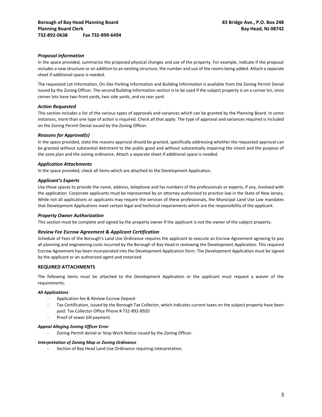# *Proposal Information*

In the space provided, summarize the proposed physical changes and use of the property. For example, indicate If the proposal includes a new structure or an addition to an existing structure, the number and use of the rooms being added. Attach a separate sheet if additional space is needed.

The requested Lot Information, On-Site Parking Information and Building Information is available from the Zoning Permit Denial issued by the Zoning Officer. The second Building Information section is to be used if the subject property is on a corner lot, since corner lots have two front yards, two side yards, and no rear yard.

### *Action Requested*

This section includes a list of the various types of approvals and variances which can be granted by the Planning Board. In some instances, more than one type of action is required. Check all that apply. The type of approval and variances required is included on the Zoning Permit Denial issued by the Zoning Officer.

## *Reasons for Approval(s)*

In the space provided, state the reasons approval should be granted, specifically addressing whether the requested approval can be granted without substantial detriment to the public good and without substantially impairing the intent and the purpose of the zone plan and the zoning ordinance. Attach a separate sheet if additional space is needed.

## *Application Attachments*

In the space provided, check all items which are attached to the Development Application.

## *Applicant's Experts*

Use these spaces to provide the name, address, telephone and fax numbers of the professionals or experts, if any, involved with the application. Corporate applicants must be represented by an attorney authorized to practice law in the State of New Jersey. While not all applications or applicants may require the services of these professionals, the Municipal Land Use Law mandates that Development Applications meet certain legal and technical requirements which are the responsibility of the applicant.

# *Property Owner Authorization*

This section must be complete and signed by the property owner if the applicant is not the owner of the subject property.

# *Review Fee Escrow Agreement & Applicant Certification*

Schedule of Fees of the Borough's Land Use Ordinance requires the applicant to execute an Escrow Agreement agreeing to pay all planning and engineering costs incurred by the Borough of Bay Head in reviewing the Development Application. This required Escrow Agreement has been incorporated into the Development Application form. The Development Application must be signed by the applicant or an authorized agent and notarized.

# **REQUIRED ATTACHMENTS**

The following items must be attached to the Development Application or the applicant must request a waiver of the requirements:

# *All Applications*

- Application fee & Review Escrow Deposit
- Tax Certification, issued by the Borough Tax Collector, which indicates current taxes on the subject property have been paid. Tax Collector Office Phone # 732-892-8920
- Proof of sewer bill payment.

# *Appeal Alleging Zoning Officer Error*

Zoning Permit denial or Stop Work Notice issued by the Zoning Officer.

### *Interpretation of Zoning Map or Zoning Ordinance*

Section of Bay Head Land Use Ordinance requiring interpretation.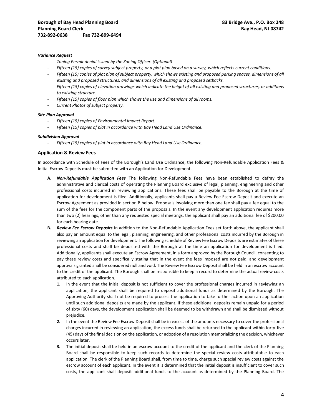### *Variance Request*

- *Zoning Permit denial issued by the Zoning Officer. (Optional)*
- *Fifteen (15) copies of survey subject property, or a plot plan based on a survey, which reflects current conditions.*
- *Fifteen (15) copies of plot plan of subject property, which shows existing and proposed parking spaces, dimensions of all existing and proposed structures, and dimensions of all existing and proposed setbacks.*
- *Fifteen (15) copies of elevation drawings which indicate the height of all existing and proposed structures, or additions to existing structure.*
- *Fifteen (15) copies of floor plan which shows the use and dimensions of all rooms.*
- *Current Photos of subject property.*

### *Site Plan Approval*

- *Fifteen (15) copies of Environmental Impact Report.*
- Fifteen (15) copies of plat in accordance with Bay Head Land Use Ordinance.

### *Subdivision Approval*

- *Fifteen (15) copies of plat in accordance with Bay Head Land Use Ordinance.* 

# **Application & Review Fees**

In accordance with Schedule of Fees of the Borough's Land Use Ordinance, the following Non-Refundable Application Fees & Initial Escrow Deposits must be submitted with an Application for Development.

- **A.** *Non-Refundable Application Fees* The following Non-Refundable Fees have been established to defray the administrative and clerical costs of operating the Planning Board exclusive of legal, planning, engineering and other professional costs incurred in reviewing applications. These fees shall be payable to the Borough at the time of application for development is filed. Additionally, applicants shall pay a Review Fee Escrow Deposit and execute an Escrow Agreement as provided in section B below. Proposals involving more than one fee shall pay a fee equal to the sum of the fees for the component parts of the proposals. In the event any development application requires more than two (2) hearings, other than any requested special meetings, the applicant shall pay an additional fee of \$200.00 for each hearing date.
- **B.** *Review Fee Escrow Deposits* In addition to the Non-Refundable Application Fees set forth above, the applicant shall also pay an amount equal to the legal, planning, engineering, and other professional costs incurred by the Borough in reviewing an application for development. The following schedule of Review Fee Escrow Deposits are estimates of these professional costs and shall be deposited with the Borough at the time an application for development is filed. Additionally, applicants shall execute an Escrow Agreement, in a form approved by the Borough Council, consenting to pay these review costs and specifically stating that in the event the fees imposed are not paid, and development approvals granted shall be considered null and void. The Review Fee Escrow Deposit shall be held in an escrow account to the credit of the applicant. The Borough shall be responsible to keep a record to determine the actual review costs attributed to each application.
	- **1.** In the event that the initial deposit is not sufficient to cover the professional charges incurred in reviewing an application, the applicant shall be required to deposit additional funds as determined by the Borough. The Approving Authority shall not be required to process the application to take further action upon an application until such additional deposits are made by the applicant. If these additional deposits remain unpaid for a period of sixty (60) days, the development application shall be deemed to be withdrawn and shall be dismissed without prejudice.
	- **2.** In the event the Review Fee Escrow Deposit shall be in excess of the amounts necessary to cover the professional charges incurred in reviewing an application, the excess funds shall be returned to the applicant within forty-five (45) days of the final decision on the application, or adoption of a resolution memorializing the decision, whichever occurs later.
	- **3.** The initial deposit shall be held in an escrow account to the credit of the applicant and the clerk of the Planning Board shall be responsible to keep such records to determine the special review costs attributable to each application. The clerk of the Planning Board shall, from time to time, charge such special review costs against the escrow account of each applicant. In the event it is determined that the initial deposit is insufficient to cover such costs, the applicant shall deposit additional funds to the account as determined by the Planning Board. The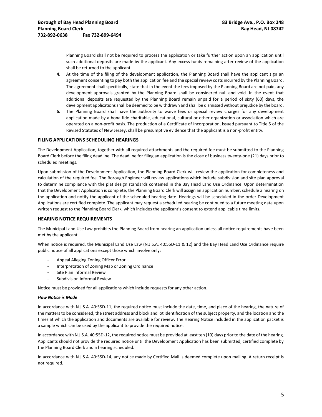Planning Board shall not be required to process the application or take further action upon an application until such additional deposits are made by the applicant. Any excess funds remaining after review of the application shall be returned to the applicant.

- **4.** At the time of the filing of the development application, the Planning Board shall have the applicant sign an agreement consenting to pay both the application fee and the special review costs incurred by the Planning Board. The agreement shall specifically, state that in the event the fees imposed by the Planning Board are not paid, any development approvals granted by the Planning Board shall be considered null and void. In the event that additional deposits are requested by the Planning Board remain unpaid for a period of sixty (60) days, the development applications shall be deemed to be withdrawn and shall be dismissed without prejudice by the board.
- **5.** The Planning Board shall have the authority to waive fees or special review charges for any development application made by a bona fide charitable, educational, cultural or other organization or association which are operated on a non-profit basis. The production of a Certificate of Incorporation, issued pursuant to Title 5 of the Revised Statutes of New Jersey, shall be presumptive evidence that the applicant is a non-profit entity.

## **FILING APPLICATIONS SCHEDULING HEARINGS**

The Development Application, together with all required attachments and the required fee must be submitted to the Planning Board Clerk before the filing deadline. The deadline for filing an application is the close of business twenty-one (21) days prior to scheduled meetings.

Upon submission of the Development Application, the Planning Board Clerk will review the application for completeness and calculation of the required fee. The Borough Engineer will review applications which include subdivision and site plan approval to determine compliance with the plat design standards contained in the Bay Head Land Use Ordinance. Upon determination that the Development Application is complete, the Planning Board Clerk will assign an application number, schedule a hearing on the application and notify the applicant of the scheduled hearing date. Hearings will be scheduled in the order Development Applications are certified complete. The applicant may request a scheduled hearing be continued to a future meeting date upon written request to the Planning Board Clerk, which includes the applicant's consent to extend applicable time limits.

### **HEARING NOTICE REQUIREMENTS**

The Municipal Land Use Law prohibits the Planning Board from hearing an application unless all notice requirements have been met by the applicant.

When notice is required, the Municipal Land Use Law (N.J.S.A. 40:55D-11 & 12) and the Bay Head Land Use Ordinance require public notice of all applications except those which involve only:

- Appeal Alleging Zoning Officer Error
- Interpretation of Zoning Map or Zoning Ordinance
- Site Plan Informal Review
- Subdivision Informal Review

Notice must be provided for all applications which include requests for any other action.

### *How Notice is Made*

In accordance with N.J.S.A. 40:55D-11, the required notice must include the date, time, and place of the hearing, the nature of the matters to be considered, the street address and block and lot identification of the subject property, and the location and the times at which the application and documents are available for review. The Hearing Notice included in the application packet is a sample which can be used by the applicant to provide the required notice.

In accordance with N.J.S.A. 40:55D-12, the required notice must be provided at least ten (10) days prior to the date of the hearing. Applicants should not provide the required notice until the Development Application has been submitted, certified complete by the Planning Board Clerk and a hearing scheduled.

In accordance with N.J.S.A. 40:55D-14, any notice made by Certified Mail is deemed complete upon mailing. A return receipt is not required.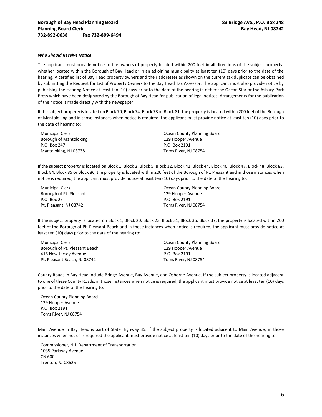#### *Who Should Receive Notice*

The applicant must provide notice to the owners of property located within 200 feet in all directions of the subject property, whether located within the Borough of Bay Head or in an adjoining municipality at least ten (10) days prior to the date of the hearing. A certified list of Bay Head property owners and their addresses as shown on the current tax duplicate can be obtained by submitting the Request for List of Property Owners to the Bay Head Tax Assessor. The applicant must also provide notice by publishing the Hearing Notice at least ten (10) days prior to the date of the hearing in either the Ocean Star or the Asbury Park Press which have been designated by the Borough of Bay Head for publication of legal notices. Arrangements for the publication of the notice is made directly with the newspaper.

If the subject property is located on Block 70, Block 74, Block 78 or Block 81, the property is located within 200 feet of the Borough of Mantoloking and in those instances when notice is required, the applicant must provide notice at least ten (10) days prior to the date of hearing to:

| <b>Municipal Clerk</b> | Ocean County Planning Board |
|------------------------|-----------------------------|
| Borough of Mantoloking | 129 Hooper Avenue           |
| P.O. Box 247           | P.O. Box 2191               |
| Mantoloking, NJ 08738  | Toms River, NJ 08754        |

If the subject property is located on Block 1, Block 2, Block 5, Block 12, Block 41, Block 44, Block 46, Block 47, Block 48, Block 83, Block 84, Block 85 or Block 86, the property is located within 200 feet of the Borough of Pt. Pleasant and in those instances when notice is required, the applicant must provide notice at least ten (10) days prior to the date of the hearing to:

Municipal Clerk Borough of Pt. Pleasant P.O. Box 25 Pt. Pleasant, NJ 08742

Ocean County Planning Board 129 Hooper Avenue P.O. Box 2191 Toms River, NJ 08754

If the subject property is located on Block 1, Block 20, Block 23, Block 31, Block 36, Block 37, the property is located within 200 feet of the Borough of Pt. Pleasant Beach and in those instances when notice is required, the applicant must provide notice at least ten (10) days prior to the date of the hearing to:

Municipal Clerk Borough of Pt. Pleasant Beach 416 New Jersey Avenue Pt. Pleasant Beach, NJ 08742

Ocean County Planning Board 129 Hooper Avenue P.O. Box 2191 Toms River, NJ 08754

County Roads in Bay Head include Bridge Avenue, Bay Avenue, and Osborne Avenue. If the subject property is located adjacent to one of these County Roads, in those instances when notice is required, the applicant must provide notice at least ten (10) days prior to the date of the hearing to:

Ocean County Planning Board 129 Hooper Avenue P.O. Box 2191 Toms River, NJ 08754

Main Avenue in Bay Head is part of State Highway 35. If the subject property is located adjacent to Main Avenue, in those instances when notice is required the applicant must provide notice at least ten (10) days prior to the date of the hearing to:

Commissioner, N.J. Department of Transportation 1035 Parkway Avenue CN 600 Trenton, NJ 08625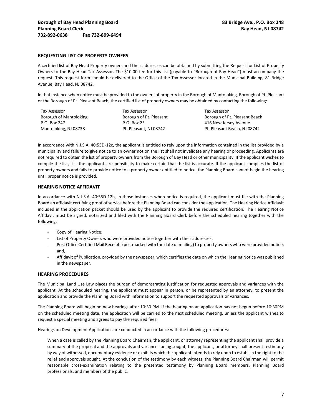# **REQUESTING LIST OF PROPERTY OWNERS**

A certified list of Bay Head Property owners and their addresses can be obtained by submitting the Request for List of Property Owners to the Bay Head Tax Assessor. The \$10.00 fee for this list (payable to "Borough of Bay Head") must accompany the request. This request form should be delivered to the Office of the Tax Assessor located in the Municipal Building, 81 Bridge Avenue, Bay Head, NJ 08742.

In that instance when notice must be provided to the owners of property in the Borough of Mantoloking, Borough of Pt. Pleasant or the Borough of Pt. Pleasant Beach, the certified list of property owners may be obtained by contacting the following:

| Tax Assessor           | Tax Assessor            | Tax Assessor                  |
|------------------------|-------------------------|-------------------------------|
| Borough of Mantoloking | Borough of Pt. Pleasant | Borough of Pt. Pleasant Beach |
| P.O. Box 247           | P.O. Box 25             | 416 New Jersey Avenue         |
| Mantoloking, NJ 08738  | Pt. Pleasant. NJ 08742  | Pt. Pleasant Beach, NJ 08742  |

In accordance with N.J.S.A. 40:55D-12c, the applicant is entitled to rely upon the information contained in the list provided by a municipality and failure to give notice to an owner not on the list shall not invalidate any hearing or proceeding. Applicants are not required to obtain the list of property owners from the Borough of Bay Head or other municipality. If the applicant wishes to compile the list, it is the applicant's responsibility to make certain that the list is accurate. If the applicant compiles the list of property owners and fails to provide notice to a property owner entitled to notice, the Planning Board cannot begin the hearing until proper notice is provided.

## **HEARING NOTICE AFFIDAVIT**

In accordance with N.J.S.A. 40:55D-12h, in those instances when notice is required, the applicant must file with the Planning Board an affidavit certifying proof of service before the Planning Board can consider the application. The Hearing Notice Affidavit included in the application packet should be used by the applicant to provide the required certification. The Hearing Notice Affidavit must be signed, notarized and filed with the Planning Board Clerk before the scheduled hearing together with the following:

- Copy of Hearing Notice;
- List of Property Owners who were provided notice together with their addresses;
- Post Office Certified Mail Receipts (postmarked with the date of mailing) to property owners who were provided notice; and,
- Affidavit of Publication, provided by the newspaper, which certifies the date on which the Hearing Notice was published in the newspaper.

### **HEARING PROCEDURES**

The Municipal Land Use Law places the burden of demonstrating justification for requested approvals and variances with the applicant. At the scheduled hearing, the applicant must appear in person, or be represented by an attorney, to present the application and provide the Planning Board with information to support the requested approvals or variances.

The Planning Board will begin no new hearings after 10:30 PM. If the hearing on an application has not begun before 10:30PM on the scheduled meeting date, the application will be carried to the next scheduled meeting, unless the applicant wishes to request a special meeting and agrees to pay the required fees.

Hearings on Development Applications are conducted in accordance with the following procedures:

When a case is called by the Planning Board Chairman, the applicant, or attorney representing the applicant shall provide a summary of the proposal and the approvals and variances being sought, the applicant, or attorney shall present testimony by way of witnessed, documentary evidence or exhibits which the applicant intends to rely upon to establish the right to the relief and approvals sought. At the conclusion of the testimony by each witness, the Planning Board Chairman will permit reasonable cross-examination relating to the presented testimony by Planning Board members, Planning Board professionals, and members of the public.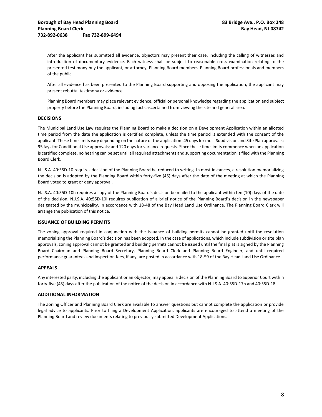After the applicant has submitted all evidence, objectors may present their case, including the calling of witnesses and introduction of documentary evidence. Each witness shall be subject to reasonable cross-examination relating to the presented testimony buy the applicant, or attorney, Planning Board members, Planning Board professionals and members of the public.

After all evidence has been presented to the Planning Board supporting and opposing the application, the applicant may present rebuttal testimony or evidence.

Planning Board members may place relevant evidence, official or personal knowledge regarding the application and subject property before the Planning Board, including facts ascertained from viewing the site and general area.

## **DECISIONS**

The Municipal Land Use Law requires the Planning Board to make a decision on a Development Application within an allotted time period from the date the application is certified complete, unless the time period is extended with the consent of the applicant. These time limits vary depending on the nature of the application: 45 days for most Subdivision and Site Plan approvals; 95 fays for Conditional Use approvals; and 120 days for variance requests. Since these time limits commence when an application is certified complete, no hearing can be set until all required attachments and supporting documentation is filed with the Planning Board Clerk.

N.J.S.A. 40:55D-10 requires decision of the Planning Board be reduced to writing. In most instances, a resolution memorializing the decision is adopted by the Planning Board within forty-five (45) days after the date of the meeting at which the Planning Board voted to grant or deny approval.

N.J.S.A. 40:55D-10h requires a copy of the Planning Board's decision be mailed to the applicant within ten (10) days of the date of the decision. N.J.S.A. 40:55D-10I requires publication of a brief notice of the Planning Board's decision in the newspaper designated by the municipality. In accordance with 18-48 of the Bay Head Land Use Ordinance. The Planning Board Clerk will arrange the publication of this notice.

### **ISSUANCE OF BUILDING PERMITS**

The zoning approval required in conjunction with the issuance of building permits cannot be granted until the resolution memorializing the Planning Board's decision has been adopted. In the case of applications, which include subdivision or site plan approvals, zoning approval cannot be granted and building permits cannot be issued until the final plat is signed by the Planning Board Chairman and Planning Board Secretary, Planning Board Clerk and Planning Board Engineer, and until required performance guarantees and inspection fees, if any, are posted in accordance with 18-59 of the Bay Head Land Use Ordinance.

# **APPEALS**

Any interested party, including the applicant or an objector, may appeal a decision of the Planning Board to Superior Court within forty-five (45) days after the publication of the notice of the decision in accordance with N.J.S.A. 40:55D-17h and 40:55D-18.

### **ADDITIONAL INFORMATION**

The Zoning Officer and Planning Board Clerk are available to answer questions but cannot complete the application or provide legal advice to applicants. Prior to filing a Development Application, applicants are encouraged to attend a meeting of the Planning Board and review documents relating to previously submitted Development Applications.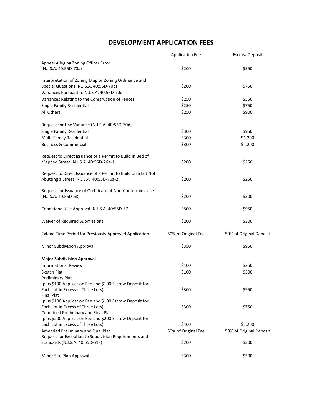# **DEVELOPMENT APPLICATION FEES**

|                                                              | <b>Application Fee</b> | <b>Escrow Deposit</b>   |
|--------------------------------------------------------------|------------------------|-------------------------|
| Appeal Alleging Zoning Officer Error                         |                        |                         |
| (N.J.S.A. 40:55D-70a)                                        | \$200                  | \$550                   |
| Interpretation of Zoning Map or Zoning Ordinance and         |                        |                         |
| Special Questions (N.J.S.A. 40:55D-70b)                      | \$200                  | \$750                   |
| Variances Pursuant to N.J.S.A. 40:55D-70c                    |                        |                         |
| Variances Relating to the Construction of Fences             | \$250                  | \$550                   |
| Single Family Residential                                    | \$250                  | \$750                   |
| All Others                                                   | \$250                  | \$900                   |
| Request for Use Variance (N.J.S.A. 40:55D-70d)               |                        |                         |
| Single Family Residential                                    | \$300                  | \$950                   |
| Multi-Family Residential                                     | \$300                  | \$1,200                 |
| <b>Business &amp; Commercial</b>                             | \$300                  | \$1,200                 |
| Request to Direct Issuance of a Permit to Build in Bed of    |                        |                         |
| Mapped Street (N.J.S.A. 40:55D-76a-1)                        | \$200                  | \$250                   |
| Request to Direct Issuance of a Permit to Build on a Lot Not |                        |                         |
| Abutting a Street (N.J.S.A. 40:55D-76a-2)                    | \$200                  | \$250                   |
| Request for Issuance of Certificate of Non-Conforming Use    |                        |                         |
| (N.J.S.A. 40:55D-68)                                         | \$200                  | \$500                   |
| Conditional Use Approval (N.J.S.A. 40:55D-67                 | \$500                  | \$950                   |
| Waiver of Required Submissions                               | \$200                  | \$300                   |
| Extend Time Period for Previously Approved Application       | 50% of Original Fee    | 50% of Original Deposit |
| Minor Subdivision Approval                                   | \$350                  | \$950                   |
| <b>Major Subdivision Approval</b>                            |                        |                         |
| <b>Informational Review</b>                                  | \$100                  | \$250                   |
| Sketch Plat                                                  | \$100                  | \$500                   |
| <b>Preliminary Plat</b>                                      |                        |                         |
| (plus \$100 Application Fee and \$100 Escrow Deposit for     |                        |                         |
| Each Lot in Excess of Three Lots)                            | \$300                  | \$950                   |
| <b>Final Plat</b>                                            |                        |                         |
| (plus \$100 Application Fee and \$100 Escrow Deposit for     |                        |                         |
| Each Lot in Excess of Three Lots)                            | \$300                  | \$750                   |
| Combined Preliminary and Final Plat                          |                        |                         |
| (plus \$200 Application Fee and \$200 Escrow Deposit for     |                        |                         |
| Each Lot in Excess of Three Lots)                            | \$400                  | \$1,200                 |
| Amended Preliminary and Final Plat                           | 50% of Original Fee    | 50% of Original Deposit |
| Request for Exception to Subdivision Requirements and        |                        |                         |
| Standards (N.J.S.A. 40:55D-51a)                              | \$200                  | \$300                   |
| Minor Site Plan Approval                                     | \$300                  | \$500                   |